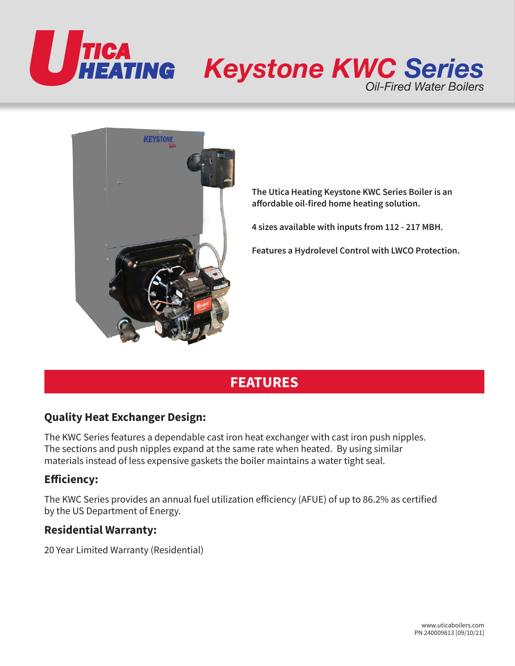



**The Utica Heating Keystone KWC Series Boiler is an affordable oil-fired home heating solution.**

**4 sizes available with inputs from 112 - 217 MBH.**

**Features a Hydrolevel Control with LWCO Protection.**

# **FEATURES**

# **Quality Heat Exchanger Design:**

The KWC Series features a dependable cast iron heat exchanger with cast iron push nipples. The sections and push nipples expand at the same rate when heated. By using similar materials instead of less expensive gaskets the boiler maintains a water tight seal.

# **Efficiency:**

The KWC Series provides an annual fuel utilization efficiency (AFUE) of up to 86.2% as certified by the US Department of Energy.

# **Residential Warranty:**

20 Year Limited Warranty (Residential)